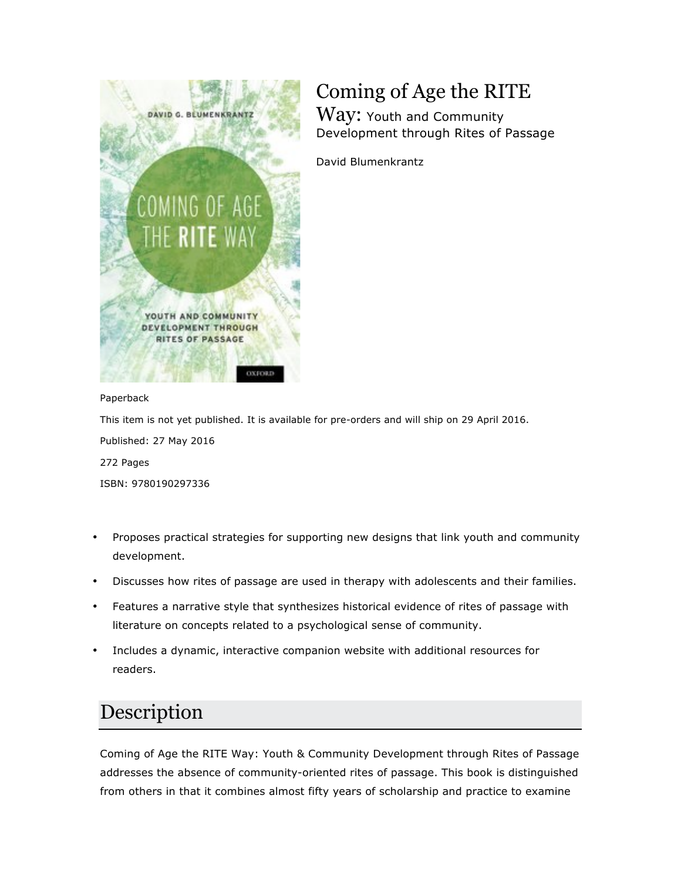

# Coming of Age the RITE

Way: Youth and Community Development through Rites of Passage

David Blumenkrantz

#### Paperback

This item is not yet published. It is available for pre-orders and will ship on 29 April 2016. Published: 27 May 2016 272 Pages ISBN: 9780190297336

- Proposes practical strategies for supporting new designs that link youth and community development.
- Discusses how rites of passage are used in therapy with adolescents and their families.
- Features a narrative style that synthesizes historical evidence of rites of passage with literature on concepts related to a psychological sense of community.
- Includes a dynamic, interactive companion website with additional resources for readers.

## Description

Coming of Age the RITE Way: Youth & Community Development through Rites of Passage addresses the absence of community-oriented rites of passage. This book is distinguished from others in that it combines almost fifty years of scholarship and practice to examine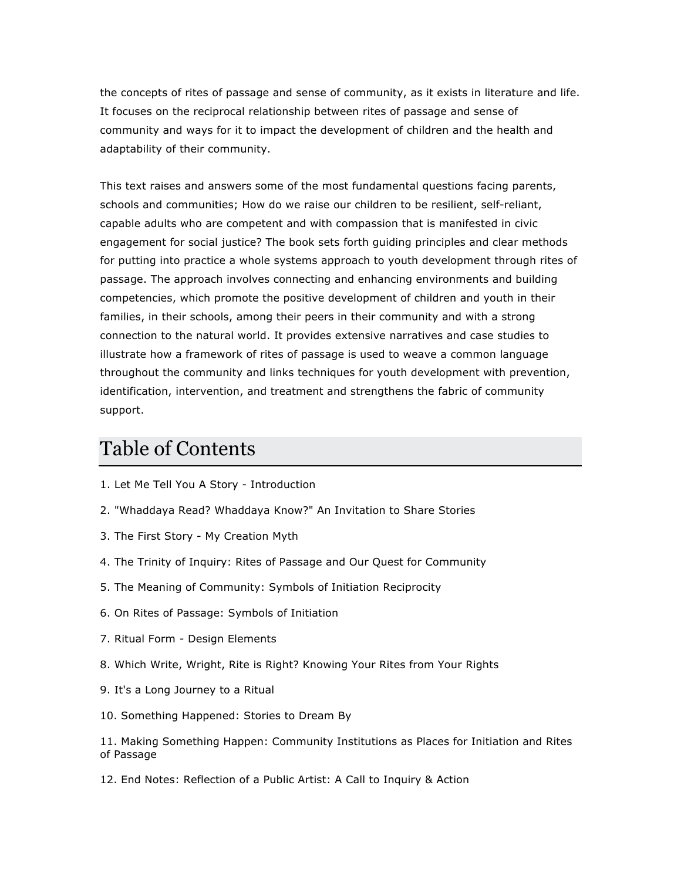the concepts of rites of passage and sense of community, as it exists in literature and life. It focuses on the reciprocal relationship between rites of passage and sense of community and ways for it to impact the development of children and the health and adaptability of their community.

This text raises and answers some of the most fundamental questions facing parents, schools and communities; How do we raise our children to be resilient, self-reliant, capable adults who are competent and with compassion that is manifested in civic engagement for social justice? The book sets forth guiding principles and clear methods for putting into practice a whole systems approach to youth development through rites of passage. The approach involves connecting and enhancing environments and building competencies, which promote the positive development of children and youth in their families, in their schools, among their peers in their community and with a strong connection to the natural world. It provides extensive narratives and case studies to illustrate how a framework of rites of passage is used to weave a common language throughout the community and links techniques for youth development with prevention, identification, intervention, and treatment and strengthens the fabric of community support.

#### Table of Contents

- 1. Let Me Tell You A Story Introduction
- 2. "Whaddaya Read? Whaddaya Know?" An Invitation to Share Stories
- 3. The First Story My Creation Myth
- 4. The Trinity of Inquiry: Rites of Passage and Our Quest for Community
- 5. The Meaning of Community: Symbols of Initiation Reciprocity
- 6. On Rites of Passage: Symbols of Initiation
- 7. Ritual Form Design Elements
- 8. Which Write, Wright, Rite is Right? Knowing Your Rites from Your Rights
- 9. It's a Long Journey to a Ritual
- 10. Something Happened: Stories to Dream By

11. Making Something Happen: Community Institutions as Places for Initiation and Rites of Passage

12. End Notes: Reflection of a Public Artist: A Call to Inquiry & Action